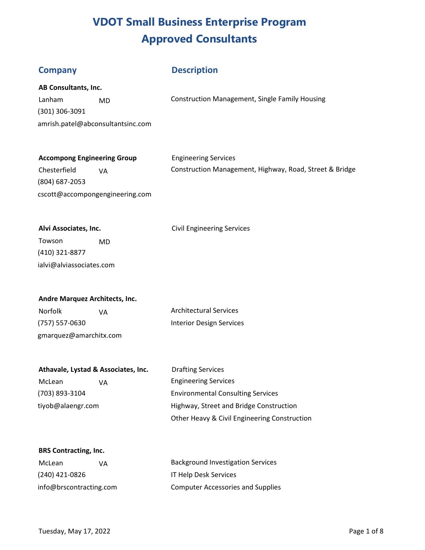#### **Description**

|  |  | AB Consultants, Inc. |
|--|--|----------------------|
|--|--|----------------------|

(301) 306-3091 amrish.patel@abconsultantsinc.com

Lanham MD MO Construction Management, Single Family Housing

### **Accompong Engineering Group** *Engineering Services*

(804) 687-2053 cscott@accompongengineering.com

Chesterfield VA Construction Management, Highway, Road, Street & Bridge

Alvi Associates, Inc. **Alvi Associates, Inc. Civil Engineering Services** 

Towson MD (410) 321-8877 ialvi@alviassociates.com

### **Andre Marquez Architects, Inc.**

Norfolk VA VA Architectural Services (757) 557-0630 Interior Design Services gmarquez@amarchitx.com

## **Athavale, Lystad & Associates, Inc.** Drafting Services

McLean VA Channel VA Engineering Services (703) 893-3104 Environmental Consulting Services tiyob@alaengr.com Highway, Street and Bridge Construction Other Heavy & Civil Engineering Construction

#### **BRS Contracting, Inc.**

| McLean                  | VА | <b>Background Investigation Services</b> |
|-------------------------|----|------------------------------------------|
| (240) 421-0826          |    | <b>IT Help Desk Services</b>             |
| info@brscontracting.com |    | <b>Computer Accessories and Supplies</b> |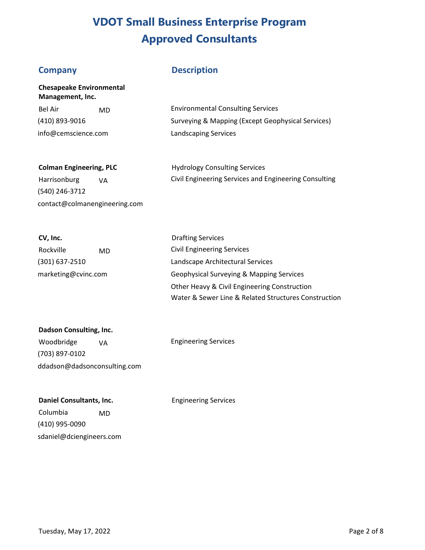### **Company**

**Management, Inc.** 

**Chesapeake Environmental** 

### **Description**

| -Bel Air            | MD. | <b>Environmental Consulting Services</b>          |
|---------------------|-----|---------------------------------------------------|
| (410) 893-9016      |     | Surveying & Mapping (Except Geophysical Services) |
| info@cemscience.com |     | Landscaping Services                              |

| <b>Colman Engineering, PLC</b> | <b>Hydrology Consulting Services</b>                  |
|--------------------------------|-------------------------------------------------------|
| Harrisonburg<br>۷A             | Civil Engineering Services and Engineering Consulting |
| (540) 246-3712                 |                                                       |

| CV, Inc.            |    |
|---------------------|----|
| Rockville           | MD |
| (301) 637-2510      |    |
| marketing@cvinc.com |    |

contact@colmanengineering.com

| <b>Drafting Services</b>                             |
|------------------------------------------------------|
| <b>Civil Engineering Services</b>                    |
| Landscape Architectural Services                     |
| Geophysical Surveying & Mapping Services             |
| Other Heavy & Civil Engineering Construction         |
| Water & Sewer Line & Related Structures Construction |

| Dadson Consulting, Inc.      |    |  |
|------------------------------|----|--|
| Woodbridge                   | VA |  |
| (703) 897-0102               |    |  |
| ddadson@dadsonconsulting.com |    |  |

Engineering Services

**Daniel Consultants, Inc.** 

Engineering Services

Columbia MD (410) 995-0090 sdaniel@dciengineers.com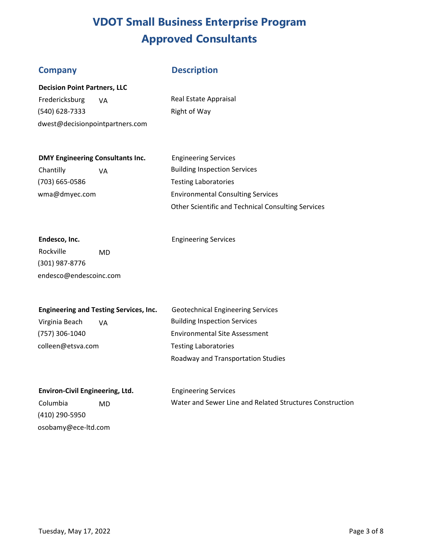#### **Company**

#### **Description**

| <b>Decision Point Partners, LLC</b> |  |  |
|-------------------------------------|--|--|
|-------------------------------------|--|--|

Fredericksburg VA (540) 628-7333 dwest@decisionpointpartners.com Real Estate Appraisal Right of Way

#### **DMY Engineering Consultants Inc.**

Chantilly VA (703) 665-0586 wma@dmyec.com

Engineering Services Building Inspection Services Testing Laboratories Environmental Consulting Services Other Scientific and Technical Consulting Services

## **Endesco, Inc.**

Engineering Services

Rockville MD (301) 987-8776 endesco@endescoinc.com

#### **Engineering and Testing Services, Inc.**

Virginia Beach VA (757) 306-1040 colleen@etsva.com

Geotechnical Engineering Services Building Inspection Services Environmental Site Assessment Testing Laboratories Roadway and Transportation Studies

**Environ-Civil Engineering, Ltd.**  Columbia MD (410) 290-5950 osobamy@ece-ltd.com

Engineering Services Water and Sewer Line and Related Structures Construction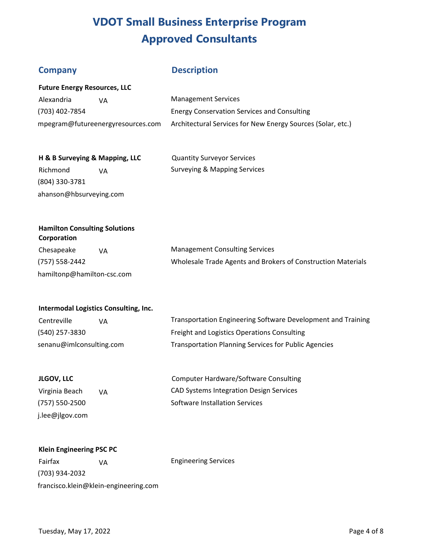### **Company**

### **Description**

| <b>Future Energy Resources, LLC</b> |                                   |                                                             |
|-------------------------------------|-----------------------------------|-------------------------------------------------------------|
| Alexandria                          | VА                                | <b>Management Services</b>                                  |
| (703) 402-7854                      |                                   | <b>Energy Conservation Services and Consulting</b>          |
|                                     | mpegram@futureenergyresources.com | Architectural Services for New Energy Sources (Solar, etc.) |

| H & B Surveying & Mapping, LLC |    | <b>Quantity Surveyor Services</b>       |
|--------------------------------|----|-----------------------------------------|
| Richmond                       | ٧A | <b>Surveying &amp; Mapping Services</b> |
| (804) 330-3781                 |    |                                         |

| <b>Hamilton Consulting Solutions</b><br>Corporation |    |                                                              |
|-----------------------------------------------------|----|--------------------------------------------------------------|
| Chesapeake                                          | ۷A | <b>Management Consulting Services</b>                        |
| (757) 558-2442                                      |    | Wholesale Trade Agents and Brokers of Construction Materials |
| hamiltonp@hamilton-csc.com                          |    |                                                              |

#### **Intermodal Logistics Consulting, Inc.**

ahanson@hbsurveying.com

| Centreville              | VA | Transportation Engineering Software Development and Training |
|--------------------------|----|--------------------------------------------------------------|
| (540) 257-3830           |    | Freight and Logistics Operations Consulting                  |
| senanu@imlconsulting.com |    | <b>Transportation Planning Services for Public Agencies</b>  |

| JLGOV. LLC     |    | <b>Computer Hardware/Software Consulting</b>   |
|----------------|----|------------------------------------------------|
| Virginia Beach | VA | <b>CAD Systems Integration Design Services</b> |
| (757) 550-2500 |    | Software Installation Services                 |

#### **Klein Engineering PSC PC**

j.lee@jlgov.com

Fairfax VA (703) 934-2032 francisco.klein@klein-engineering.com Engineering Services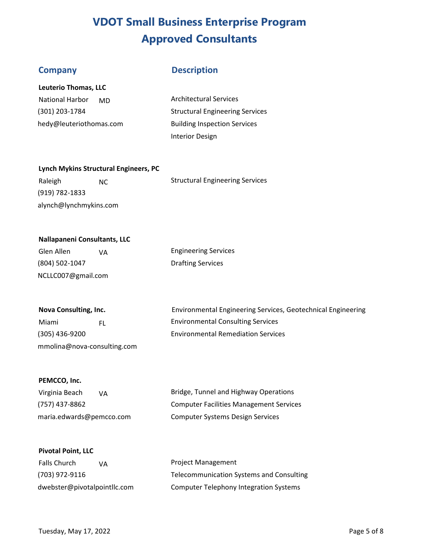#### **Company Description**

| <b>Leuterio Thomas, LLC</b> |  |  |
|-----------------------------|--|--|
|-----------------------------|--|--|

National Harbor (301) 203-1784 hedy@leuteriotho mas.com MD

Architectural Services Structural Engineering Services Building Inspection Services Interior Design

#### **Lynch Mykins Structural Engineers, PC**

Raleigh NC NC Structural Engineering Services (919) 782-1833 alynch@lynchmykins.com

#### **Nallapaneni Consultants, LLC**

| Glen Allen     | VA. | <b>Engineering Services</b> |
|----------------|-----|-----------------------------|
| (804) 502-1047 |     | <b>Drafting Services</b>    |

| Nova Consulting, Inc. |  |  |
|-----------------------|--|--|
|-----------------------|--|--|

NCLLC007@gmail.com

mmolina@nova-consulting.com

Environmental Engineering Services, Geotechnical Engineering Miami FL FL Environmental Consulting Services (305) 436-9200 Environmental Remediation Services

#### **PEMCCO, Inc.**

| Virginia Beach<br>VА     | Bridge, Tunnel and Highway Operations          |
|--------------------------|------------------------------------------------|
| (757) 437-8862           | <b>Computer Facilities Management Services</b> |
| maria.edwards@pemcco.com | Computer Systems Design Services               |

#### **Pivotal Point, LLC**

| <b>Falls Church</b><br>VА    | <b>Project Management</b>                     |
|------------------------------|-----------------------------------------------|
| (703) 972-9116               | Telecommunication Systems and Consulting      |
| dwebster@pivotalpointllc.com | <b>Computer Telephony Integration Systems</b> |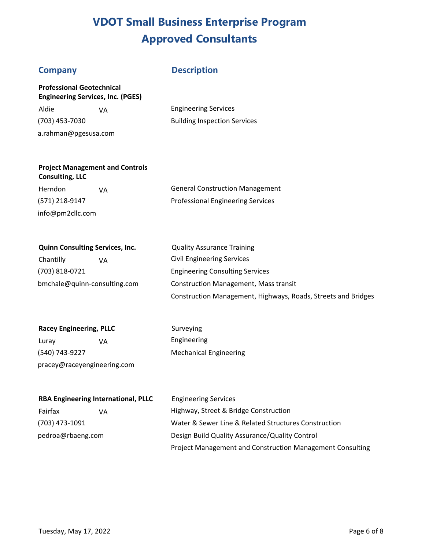#### **Company Description**

**Professional Geotechnical Engineering Services, Inc. (PGES)**  Aldie VA Engineering Services (703) 453-7030 Building Inspection Services a.rahman@pgesusa.com

### **Project Management and Controls Consulting, LLC**

info@pm2cllc.com

Herndon VA VA General Construction Management (571) 218-9147 Professional Engineering Services

| <b>Quinn Consulting Services, Inc.</b> | <b>Quality Assurance Training</b>                             |
|----------------------------------------|---------------------------------------------------------------|
| Chantilly<br>VA                        | <b>Civil Engineering Services</b>                             |
| (703) 818-0721                         | <b>Engineering Consulting Services</b>                        |
| bmchale@quinn-consulting.com           | <b>Construction Management, Mass transit</b>                  |
|                                        | Construction Management, Highways, Roads, Streets and Bridges |

| <b>Racey Engineering, PLLC</b> |    | Surveying                     |
|--------------------------------|----|-------------------------------|
| Luray                          | VА | Engineering                   |
| (540) 743-9227                 |    | <b>Mechanical Engineering</b> |

pracey@raceyengineering.com

| <b>RBA Engineering International, PLLC</b> | <b>Engineering Services</b>                                      |
|--------------------------------------------|------------------------------------------------------------------|
| Fairfax<br>VA                              | Highway, Street & Bridge Construction                            |
| (703) 473-1091                             | Water & Sewer Line & Related Structures Construction             |
| pedroa@rbaeng.com                          | Design Build Quality Assurance/Quality Control                   |
|                                            | <b>Project Management and Construction Management Consulting</b> |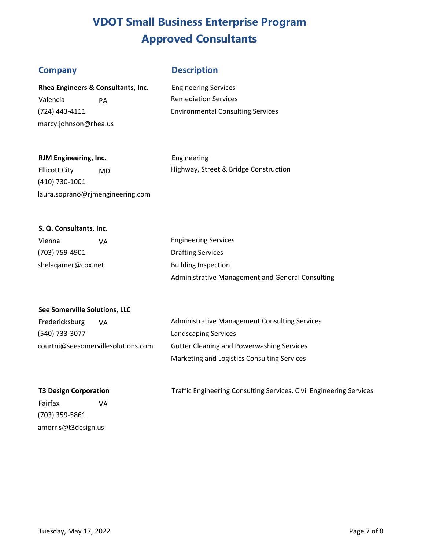#### **Company Description**

| Rhea Engineers & Consultants, Inc. |    |  |
|------------------------------------|----|--|
| Valencia                           | PА |  |
| (724) 443-4111                     |    |  |
| marcy.johnson@rhea.us              |    |  |

**Engineering Services Remediation Services** Environmental Consulting Services

#### **RJM Engineering, Inc. Engineering**

Ellicott City MD Highway, Street & Bridge Construction

(410) 730-1001 laura.soprano@rjmengineering.com

#### **S. Q. Consultants, Inc.**

| Vienna             | ۷A | <b>Engineering Services</b>                      |
|--------------------|----|--------------------------------------------------|
| (703) 759-4901     |    | <b>Drafting Services</b>                         |
| shelagamer@cox.net |    | <b>Building Inspection</b>                       |
|                    |    | Administrative Management and General Consulting |

#### **See Somerville Solutions, LLC**

| Fredericksburg                     | ۷A | Administrative Management Consulting Services    |
|------------------------------------|----|--------------------------------------------------|
| (540) 733-3077                     |    | <b>Landscaping Services</b>                      |
| courtni@seesomervillesolutions.com |    | <b>Gutter Cleaning and Powerwashing Services</b> |
|                                    |    | Marketing and Logistics Consulting Services      |

#### **T3 Design Corporation**

Fairfax VA (703) 359-5861 amorris@t3design.us

Traffic Engineering Consulting Services, Civil Engineering Services